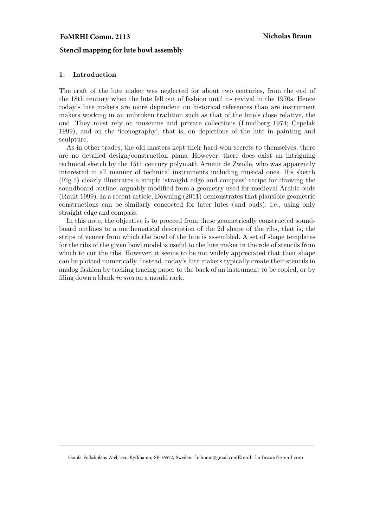# FoMRHI Comm. 2113 Nicholas Braun

## **Stencil mapping for lute bowl assembly**

## 1. Introduction

The craft of the lute maker was neglected for about two centuries, from the end of the 18th century when the lute fell out of fashion until its revival in the 1970s. Hence today's lute makers are more dependent on historical references than are instrument makers working in an unbroken tradition such as that of the lute's close relative, the oud. They must rely on museums and private collections (Lundberg 1974; Cepelak 1999), and on the 'iconography', that is, on depictions of the lute in painting and sculpture.

As in other trades, the old masters kept their hard-won secrets to themselves, there are no detailed design/construction plans. However, there does exist an intriguing technical sketch by the 15th century polymath Arnaut de Zwolle, who was apparently interested in all manner of technical instruments including musical ones. His sketch (Fig.1) clearly illustrates a simple 'straight edge and compass' recipe for drawing the soundboard outline, arguably modified from a geometry used for medieval Arabic ouds (Rault 1999). In a recent article, Downing (2011) demonstrates that plausible geometric constructions can be similarly concocted for later lutes (and ouds), i.e., using only straight edge and compass.

In this note, the objective is to proceed from these geometrically constructed soundboard outlines to a mathematical description of the 2d shape of the ribs, that is, the strips of veneer from which the bowl of the lute is assembled. A set of shape templates for the ribs of the given bowl model is useful to the lute maker in the role of stencils from which to cut the ribs. However, it seems to be not widely appreciated that their shape can be plotted numerically. Instead, today's lute makers typically create their stencils in analog fashion by tacking tracing paper to the back of an instrument to be copied, or by filing down a blank in situ on a mould rack.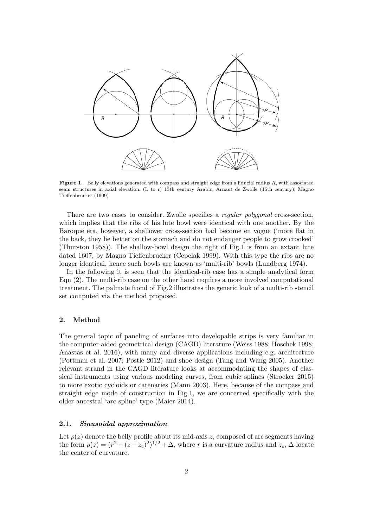

**Figure 1.** Belly elevations generated with compass and straight edge from a fiducial radius  $R$ , with associated seam structures in axial elevation. (L to r) 13th century Arabic; Arnaut de Zwolle (15th century); Magno Tieffenbrucker (1609)

There are two cases to consider. Zwolle specifies a regular polygonal cross-section, which implies that the ribs of his lute bowl were identical with one another. By the Baroque era, however, a shallower cross-section had become en vogue ('more flat in the back, they lie better on the stomach and do not endanger people to grow crooked' (Thurston 1958)). The shallow-bowl design the right of Fig.1 is from an extant lute dated 1607, by Magno Tieffenbrucker (Cepelak 1999). With this type the ribs are no longer identical, hence such bowls are known as 'multi-rib' bowls (Lundberg 1974).

In the following it is seen that the identical-rib case has a simple analytical form Eqn (2). The multi-rib case on the other hand requires a more involved computational treatment. The palmate frond of Fig.2 illustrates the generic look of a multi-rib stencil set computed via the method proposed.

## 2. Method

The general topic of paneling of surfaces into developable strips is very familiar in the computer-aided geometrical design (CAGD) literature (Weiss 1988; Hoschek 1998; Anastas et al. 2016), with many and diverse applications including e.g. architecture (Pottman et al. 2007; Postle 2012) and shoe design (Tang and Wang 2005). Another relevant strand in the CAGD literature looks at accommodating the shapes of classical instruments using various modeling curves, from cubic splines (Stroeker 2015) to more exotic cycloids or catenaries (Mann 2003). Here, because of the compass and straight edge mode of construction in Fig.1, we are concerned specifically with the older ancestral 'arc spline' type (Maier 2014).

### 2.1. Sinusoidal approximation

Let  $\rho(z)$  denote the belly profile about its mid-axis z, composed of arc segments having the form  $\rho(z) = (r^2 - (z - z_c)^2)^{1/2} + \Delta$ , where r is a curvature radius and  $z_c$ ,  $\Delta$  locate the center of curvature.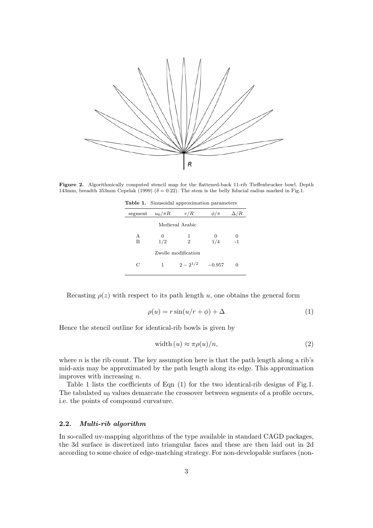

Figure 2. Algorithmically computed stencil map for the flattened-back 11-rib Tieffenbrucker bowl. Depth 143mm, breadth 353mm Cepelak (1999) ( $\delta = 0.22$ ). The stem is the belly fiducial radius marked in Fig.1.

|  |  | <b>Table 1.</b> Sinusoidal approximation parameters |  |
|--|--|-----------------------------------------------------|--|
|--|--|-----------------------------------------------------|--|

| segment             | $u_0/\pi R$     | r/R                 | $\phi/\pi$ | 'R        |  |
|---------------------|-----------------|---------------------|------------|-----------|--|
|                     | Medieval Arabic |                     |            |           |  |
| A<br>B              | 0<br>1/2        | 1<br>$\overline{2}$ | 0<br>1/4   | 0<br>$-1$ |  |
| Zwolle modification |                 |                     |            |           |  |
| С                   | 1               | $2-2^{1/2}$         | $-0.957$   | 0         |  |
|                     |                 |                     |            |           |  |

Recasting  $\rho(z)$  with respect to its path length u, one obtains the general form

$$
\rho(u) = r\sin(u/r + \phi) + \Delta \tag{1}
$$

Hence the stencil outline for identical-rib bowls is given by

$$
width (u) \approx \pi \rho(u)/n,
$$
\n(2)

where  $n$  is the rib count. The key assumption here is that the path length along a rib's mid-axis may be approximated by the path length along its edge. This approximation improves with increasing n.

Table 1 lists the coefficients of Eqn (1) for the two identical-rib designs of Fig.1. The tabulated  $u_0$  values demarcate the crossover between segments of a profile occurs, i.e. the points of compound curvature.

### 2.2. Multi-rib algorithm

In so-called uv-mapping algorithms of the type available in standard CAGD packages, the 3d surface is discretized into triangular faces and these are then laid out in 2d according to some choice of edge-matching strategy. For non-developable surfaces (non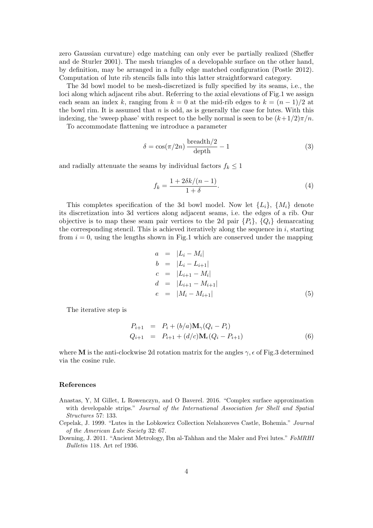zero Gaussian curvature) edge matching can only ever be partially realized (Sheffer and de Sturler 2001). The mesh triangles of a developable surface on the other hand, by definition, may be arranged in a fully edge matched configuration (Postle 2012). Computation of lute rib stencils falls into this latter straightforward category.

The 3d bowl model to be mesh-discretized is fully specified by its seams, i.e., the loci along which adjacent ribs abut. Referring to the axial elevations of Fig.1 we assign each seam an index k, ranging from  $k = 0$  at the mid-rib edges to  $k = (n - 1)/2$  at the bowl rim. It is assumed that  $n$  is odd, as is generally the case for lutes. With this indexing, the 'sweep phase' with respect to the belly normal is seen to be  $(k+1/2)\pi/n$ .

To accommodate flattening we introduce a parameter

$$
\delta = \cos(\pi/2n) \frac{\text{breadth}/2}{\text{depth}} - 1 \tag{3}
$$

and radially attenuate the seams by individual factors  $f_k \leq 1$ 

$$
f_k = \frac{1 + 2\delta k/(n-1)}{1+\delta}.\tag{4}
$$

This completes specification of the 3d bowl model. Now let  $\{L_i\}$ ,  $\{M_i\}$  denote its discretization into 3d vertices along adjacent seams, i.e. the edges of a rib. Our objective is to map these seam pair vertices to the 2d pair  $\{P_i\}, \{Q_i\}$  demarcating the corresponding stencil. This is achieved iteratively along the sequence in  $i$ , starting from  $i = 0$ , using the lengths shown in Fig.1 which are conserved under the mapping

$$
a = |L_i - M_i| \n b = |L_i - L_{i+1}| \n c = |L_{i+1} - M_i| \n d = |L_{i+1} - M_{i+1}| \n e = |M_i - M_{i+1}|
$$
\n(5)

The iterative step is

$$
P_{i+1} = P_i + (b/a) \mathbf{M}_{\gamma} (Q_i - P_i)
$$
  
\n
$$
Q_{i+1} = P_{i+1} + (d/c) \mathbf{M}_{\epsilon} (Q_i - P_{i+1})
$$
\n(6)

where M is the anti-clockwise 2d rotation matrix for the angles  $\gamma$ ,  $\epsilon$  of Fig.3 determined via the cosine rule.

#### References

- Anastas, Y, M Gillet, L Rowenczyn, and O Baverel. 2016. "Complex surface approximation with developable strips." Journal of the International Association for Shell and Spatial Structures 57: 133.
- Cepelak, J. 1999. "Lutes in the Lobkowicz Collection Nelahozeves Castle, Bohemia." Journal of the American Lute Society 32: 67.
- Downing, J. 2011. "Ancient Metrology, Ibn al-Tahhan and the Maler and Frei lutes." FoMRHI Bulletin 118. Art ref 1936.